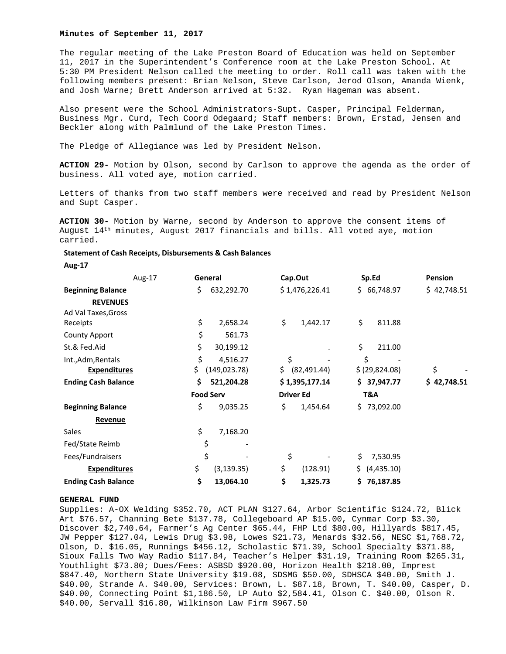#### **Minutes of September 11, 2017**

The regular meeting of the Lake Preston Board of Education was held on September 11, 2017 in the Superintendent's Conference room at the Lake Preston School. At 5:30 PM President Nelson called the meeting to order. Roll call was taken with the following members present: Brian Nelson, Steve Carlson, Jerod Olson, Amanda Wienk, and Josh Warne; Brett Anderson arrived at 5:32. Ryan Hageman was absent.

Also present were the School Administrators-Supt. Casper, Principal Felderman, Business Mgr. Curd, Tech Coord Odegaard; Staff members: Brown, Erstad, Jensen and Beckler along with Palmlund of the Lake Preston Times.

The Pledge of Allegiance was led by President Nelson.

**ACTION 29-** Motion by Olson, second by Carlson to approve the agenda as the order of business. All voted aye, motion carried.

Letters of thanks from two staff members were received and read by President Nelson and Supt Casper.

**ACTION 30-** Motion by Warne, second by Anderson to approve the consent items of August 14<sup>th</sup> minutes, August 2017 financials and bills. All voted aye, motion carried.

# **Statement of Cash Receipts, Disbursements & Cash Balances**

**Aug‐17** 

|                            | Aug-17 | General          |               | Cap.Out          |                | Sp.Ed |                | <b>Pension</b> |
|----------------------------|--------|------------------|---------------|------------------|----------------|-------|----------------|----------------|
| <b>Beginning Balance</b>   |        | \$.              | 632,292.70    |                  | \$1,476,226.41 |       | \$66,748.97    | \$42,748.51    |
| <b>REVENUES</b>            |        |                  |               |                  |                |       |                |                |
| Ad Val Taxes, Gross        |        |                  |               |                  |                |       |                |                |
| Receipts                   |        | \$               | 2,658.24      | \$               | 1,442.17       | \$    | 811.88         |                |
| <b>County Apport</b>       |        | \$               | 561.73        |                  |                |       |                |                |
| St.& Fed.Aid               |        | \$               | 30,199.12     |                  |                | \$    | 211.00         |                |
| Int., Adm, Rentals         |        | \$               | 4,516.27      | \$               |                |       | \$             |                |
| <b>Expenditures</b>        |        | \$               | (149, 023.78) | \$.              | (82, 491.44)   |       | \$ (29,824.08) | \$             |
| <b>Ending Cash Balance</b> |        | \$               | 521,204.28    |                  | \$1,395,177.14 |       | \$37,947.77    | \$42,748.51    |
|                            |        | <b>Food Serv</b> |               | <b>Driver Ed</b> |                | T&A   |                |                |
| <b>Beginning Balance</b>   |        | \$               | 9,035.25      | \$               | 1,454.64       |       | \$73,092.00    |                |
| Revenue                    |        |                  |               |                  |                |       |                |                |
| Sales                      |        | \$               | 7,168.20      |                  |                |       |                |                |
| Fed/State Reimb            |        | \$               |               |                  |                |       |                |                |
| Fees/Fundraisers           |        | \$               |               | \$               |                | \$    | 7,530.95       |                |
| <b>Expenditures</b>        |        | \$               | (3, 139.35)   | \$               | (128.91)       | \$    | (4,435.10)     |                |
| <b>Ending Cash Balance</b> |        | \$               | 13,064.10     | \$               | 1,325.73       |       | \$76,187.85    |                |

# **GENERAL FUND**

Supplies: A-OX Welding \$352.70, ACT PLAN \$127.64, Arbor Scientific \$124.72, Blick Art \$76.57, Channing Bete \$137.78, Collegeboard AP \$15.00, Cynmar Corp \$3.30, Discover \$2,740.64, Farmer's Ag Center \$65.44, FHP Ltd \$80.00, Hillyards \$817.45, JW Pepper \$127.04, Lewis Drug \$3.98, Lowes \$21.73, Menards \$32.56, NESC \$1,768.72, Olson, D. \$16.05, Runnings \$456.12, Scholastic \$71.39, School Specialty \$371.88, Sioux Falls Two Way Radio \$117.84, Teacher's Helper \$31.19, Training Room \$265.31, Youthlight \$73.80; Dues/Fees: ASBSD \$920.00, Horizon Health \$218.00, Imprest \$847.40, Northern State University \$19.08, SDSMG \$50.00, SDHSCA \$40.00, Smith J. \$40.00, Strande A. \$40.00, Services: Brown, L. \$87.18, Brown, T. \$40.00, Casper, D. \$40.00, Connecting Point \$1,186.50, LP Auto \$2,584.41, Olson C. \$40.00, Olson R. \$40.00, Servall \$16.80, Wilkinson Law Firm \$967.50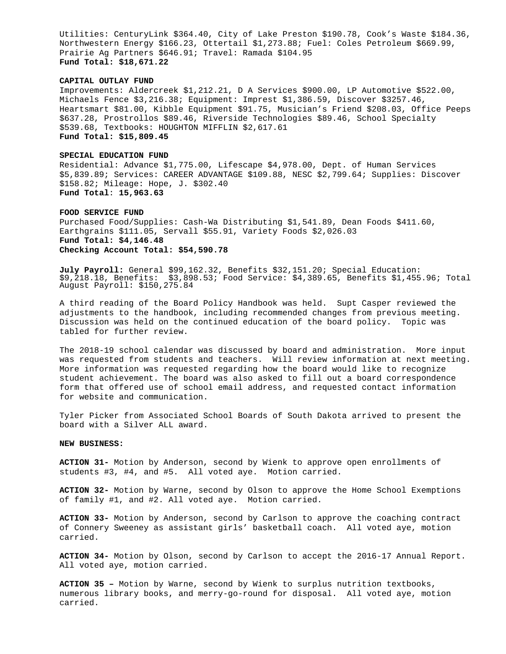Utilities: CenturyLink \$364.40, City of Lake Preston \$190.78, Cook's Waste \$184.36, Northwestern Energy \$166.23, Ottertail \$1,273.88; Fuel: Coles Petroleum \$669.99, Prairie Ag Partners \$646.91; Travel: Ramada \$104.95 **Fund Total: \$18,671.22** 

## **CAPITAL OUTLAY FUND**

Improvements: Aldercreek \$1,212.21, D A Services \$900.00, LP Automotive \$522.00, Michaels Fence \$3,216.38; Equipment: Imprest \$1,386.59, Discover \$3257.46, Heartsmart \$81.00, Kibble Equipment \$91.75, Musician's Friend \$208.03, Office Peeps \$637.28, Prostrollos \$89.46, Riverside Technologies \$89.46, School Specialty \$539.68, Textbooks: HOUGHTON MIFFLIN \$2,617.61 **Fund Total: \$15,809.45** 

## **SPECIAL EDUCATION FUND**

Residential: Advance \$1,775.00, Lifescape \$4,978.00, Dept. of Human Services \$5,839.89; Services: CAREER ADVANTAGE \$109.88, NESC \$2,799.64; Supplies: Discover \$158.82; Mileage: Hope, J. \$302.40 **Fund Total**: **15,963.63** 

#### **FOOD SERVICE FUND**

Purchased Food/Supplies: Cash-Wa Distributing \$1,541.89, Dean Foods \$411.60, Earthgrains \$111.05, Servall \$55.91, Variety Foods \$2,026.03 **Fund Total: \$4,146.48 Checking Account Total: \$54,590.78** 

**July Payroll:** General \$99,162.32, Benefits \$32,151.20; Special Education: \$9,218.18, Benefits: \$3,898.53; Food Service: \$4,389.65, Benefits \$1,455.96; Total August Payroll: \$150,275.84

A third reading of the Board Policy Handbook was held. Supt Casper reviewed the adjustments to the handbook, including recommended changes from previous meeting. Discussion was held on the continued education of the board policy. Topic was tabled for further review.

The 2018-19 school calendar was discussed by board and administration. More input was requested from students and teachers. Will review information at next meeting. More information was requested regarding how the board would like to recognize student achievement. The board was also asked to fill out a board correspondence form that offered use of school email address, and requested contact information for website and communication.

Tyler Picker from Associated School Boards of South Dakota arrived to present the board with a Silver ALL award.

## **NEW BUSINESS:**

**ACTION 31-** Motion by Anderson, second by Wienk to approve open enrollments of students #3, #4, and #5. All voted aye. Motion carried.

**ACTION 32-** Motion by Warne, second by Olson to approve the Home School Exemptions of family #1, and #2. All voted aye. Motion carried.

**ACTION 33-** Motion by Anderson, second by Carlson to approve the coaching contract of Connery Sweeney as assistant girls' basketball coach. All voted aye, motion carried.

**ACTION 34-** Motion by Olson, second by Carlson to accept the 2016-17 Annual Report. All voted aye, motion carried.

**ACTION 35 –** Motion by Warne, second by Wienk to surplus nutrition textbooks, numerous library books, and merry-go-round for disposal. All voted aye, motion carried.